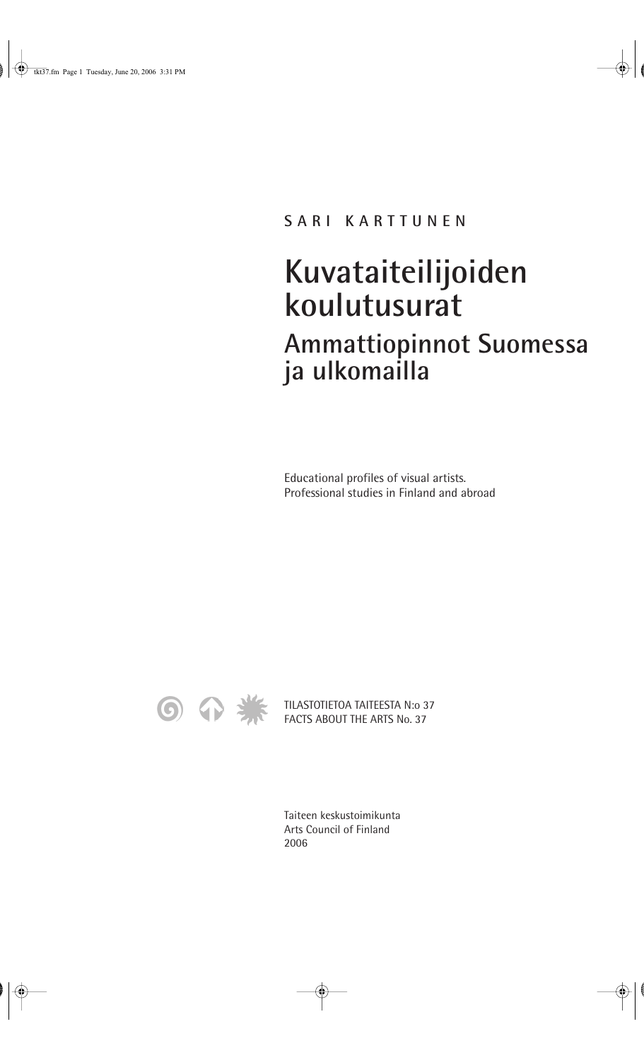#### **SARI KARTTUNEN**

# **Kuvataiteilijoiden koulutusurat Ammattiopinnot Suomessa ja ulkomailla**

Educational profiles of visual artists. Professional studies in Finland and abroad



TILASTOTIETOA TAITEESTA N:o 37 FACTS ABOUT THE ARTS No. 37

Taiteen keskustoimikunta Arts Council of Finland 2006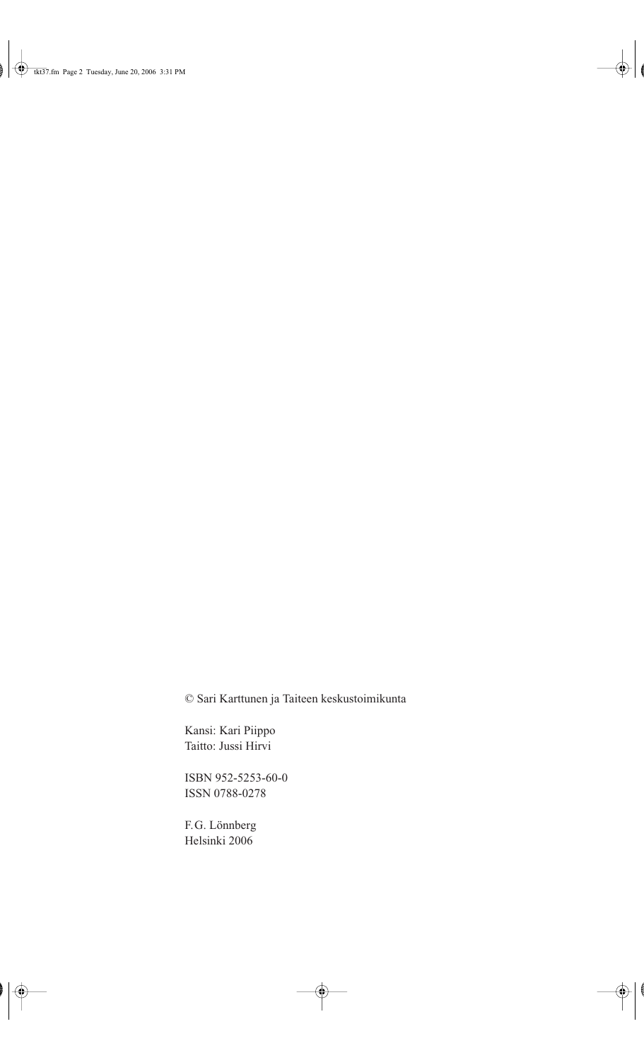© Sari Karttunen ja Taiteen keskustoimikunta

Kansi: Kari Piippo Taitto: Jussi Hirvi

ISBN 952-5253-60-0 ISSN 0788-0278

F.G. Lönnberg Helsinki 2006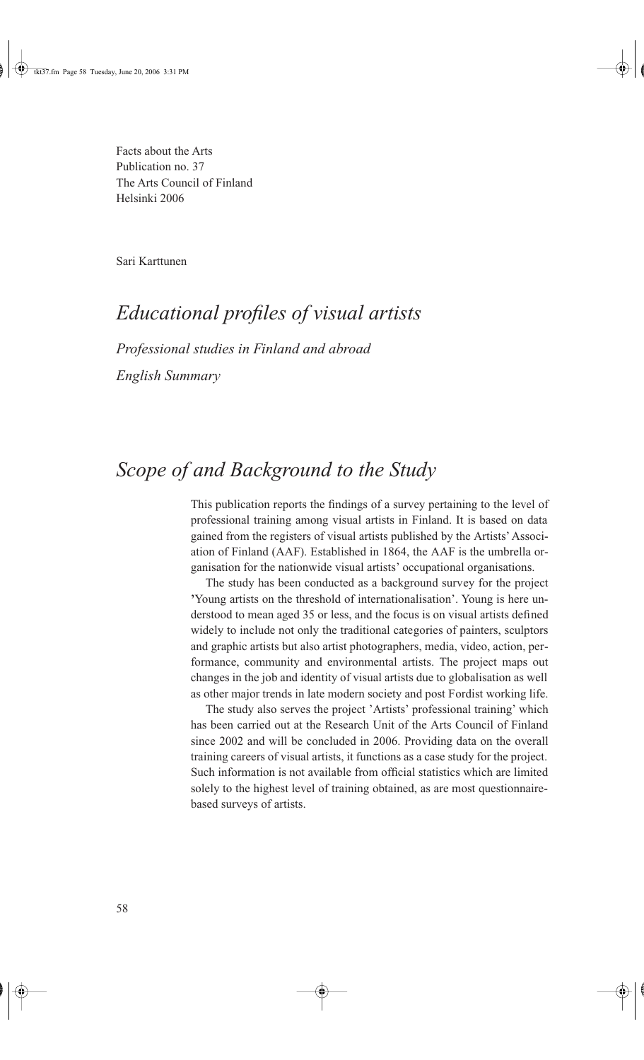Facts about the Arts Publication no. 37 The Arts Council of Finland Helsinki 2006

Sari Karttunen

### *Educational profiles of visual artists*

*Professional studies in Finland and abroad* 

*English Summary*

#### *Scope of and Background to the Study*

This publication reports the findings of a survey pertaining to the level of professional training among visual artists in Finland. It is based on data gained from the registers of visual artists published by the Artists' Association of Finland (AAF). Established in 1864, the AAF is the umbrella organisation for the nationwide visual artists' occupational organisations.

The study has been conducted as a background survey for the project **'**Young artists on the threshold of internationalisation'. Young is here understood to mean aged 35 or less, and the focus is on visual artists defined widely to include not only the traditional categories of painters, sculptors and graphic artists but also artist photographers, media, video, action, performance, community and environmental artists. The project maps out changes in the job and identity of visual artists due to globalisation as well as other major trends in late modern society and post Fordist working life.

The study also serves the project 'Artists' professional training' which has been carried out at the Research Unit of the Arts Council of Finland since 2002 and will be concluded in 2006. Providing data on the overall training careers of visual artists, it functions as a case study for the project. Such information is not available from official statistics which are limited solely to the highest level of training obtained, as are most questionnairebased surveys of artists.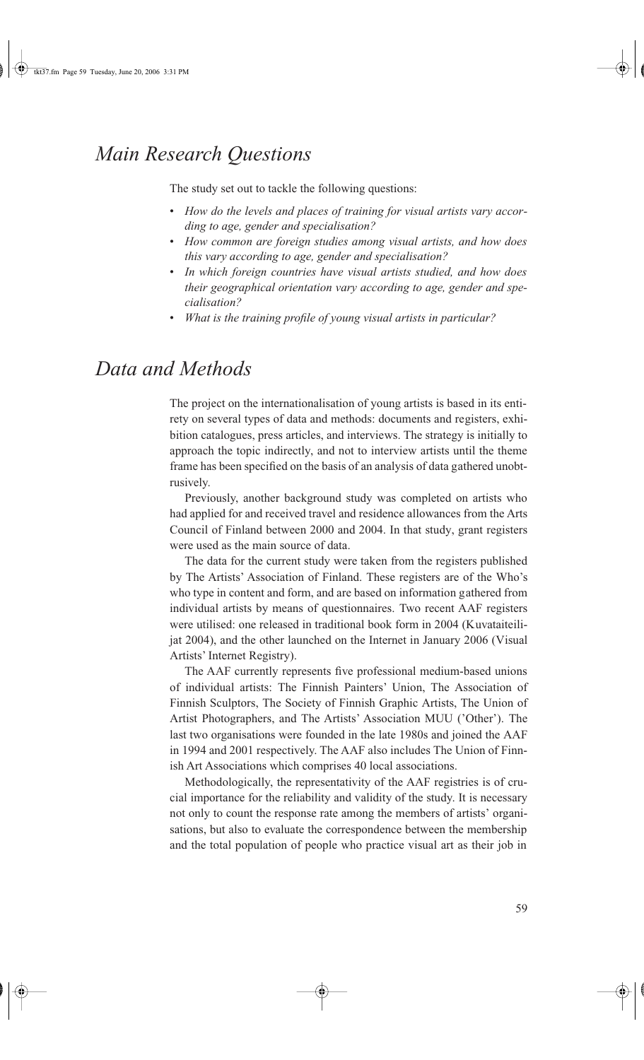#### *Main Research Questions*

The study set out to tackle the following questions:

- *How do the levels and places of training for visual artists vary according to age, gender and specialisation?*
- *How common are foreign studies among visual artists, and how does this vary according to age, gender and specialisation?*
- *In which foreign countries have visual artists studied, and how does their geographical orientation vary according to age, gender and specialisation?*
- *What is the training profile of young visual artists in particular?*

### *Data and Methods*

The project on the internationalisation of young artists is based in its entirety on several types of data and methods: documents and registers, exhibition catalogues, press articles, and interviews. The strategy is initially to approach the topic indirectly, and not to interview artists until the theme frame has been specified on the basis of an analysis of data gathered unobtrusively.

Previously, another background study was completed on artists who had applied for and received travel and residence allowances from the Arts Council of Finland between 2000 and 2004. In that study, grant registers were used as the main source of data.

The data for the current study were taken from the registers published by The Artists' Association of Finland. These registers are of the Who's who type in content and form, and are based on information gathered from individual artists by means of questionnaires. Two recent AAF registers were utilised: one released in traditional book form in 2004 (Kuvataiteilijat 2004), and the other launched on the Internet in January 2006 (Visual Artists' Internet Registry).

The AAF currently represents five professional medium-based unions of individual artists: The Finnish Painters' Union, The Association of Finnish Sculptors, The Society of Finnish Graphic Artists, The Union of Artist Photographers, and The Artists' Association MUU ('Other'). The last two organisations were founded in the late 1980s and joined the AAF in 1994 and 2001 respectively. The AAF also includes The Union of Finnish Art Associations which comprises 40 local associations.

Methodologically, the representativity of the AAF registries is of crucial importance for the reliability and validity of the study. It is necessary not only to count the response rate among the members of artists' organisations, but also to evaluate the correspondence between the membership and the total population of people who practice visual art as their job in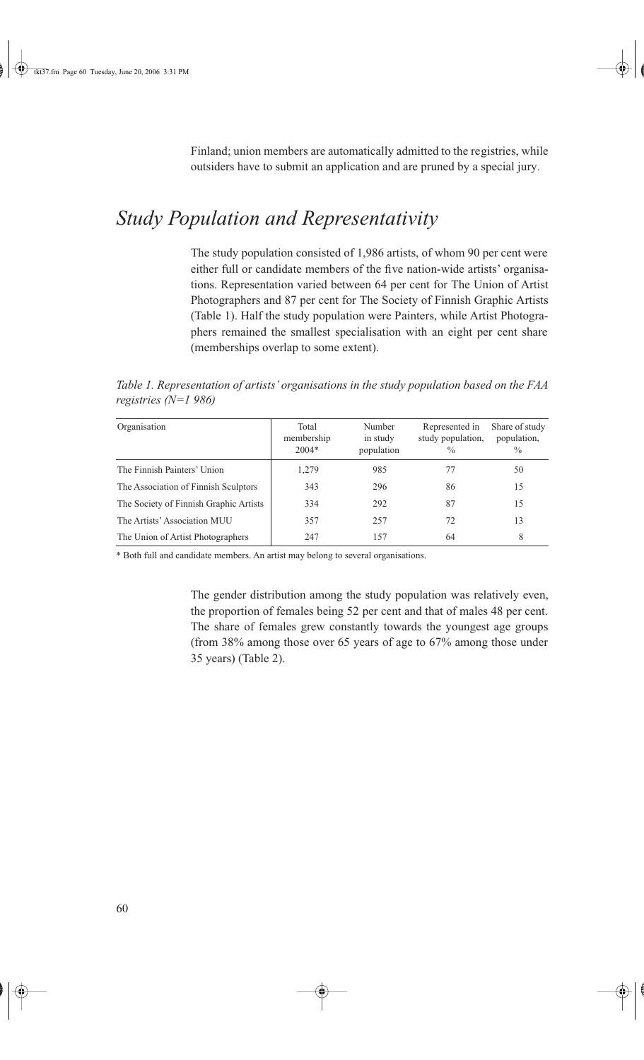Finland; union members are automatically admitted to the registries, while outsiders have to submit an application and are pruned by a special jury.

## *Study Population and Representativity*

The study population consisted of 1,986 artists, of whom 90 per cent were either full or candidate members of the five nation-wide artists' organisations. Representation varied between 64 per cent for The Union of Artist Photographers and 87 per cent for The Society of Finnish Graphic Artists (Table 1). Half the study population were Painters, while Artist Photographers remained the smallest specialisation with an eight per cent share (memberships overlap to some extent).

*Table 1. Representation of artists' organisations in the study population based on the FAA registries (N=1 986)*

| Organisation                           | Total<br>membership<br>$2004*$ | Number<br>in study<br>population | Represented in<br>study population,<br>$\frac{0}{0}$ | Share of study<br>population,<br>$\frac{0}{0}$ |
|----------------------------------------|--------------------------------|----------------------------------|------------------------------------------------------|------------------------------------------------|
| The Finnish Painters' Union            | 1,279                          | 985                              | 77                                                   | 50                                             |
| The Association of Finnish Sculptors   | 343                            | 296                              | 86                                                   | 15                                             |
| The Society of Finnish Graphic Artists | 334                            | 292                              | 87                                                   | 15                                             |
| The Artists' Association MUU           | 357                            | 257                              | 72                                                   | 13                                             |
| The Union of Artist Photographers      | 247                            | 157                              | 64                                                   | 8                                              |

\* Both full and candidate members. An artist may belong to several organisations.

The gender distribution among the study population was relatively even, the proportion of females being 52 per cent and that of males 48 per cent. The share of females grew constantly towards the youngest age groups (from 38% among those over 65 years of age to 67% among those under 35 years) (Table 2).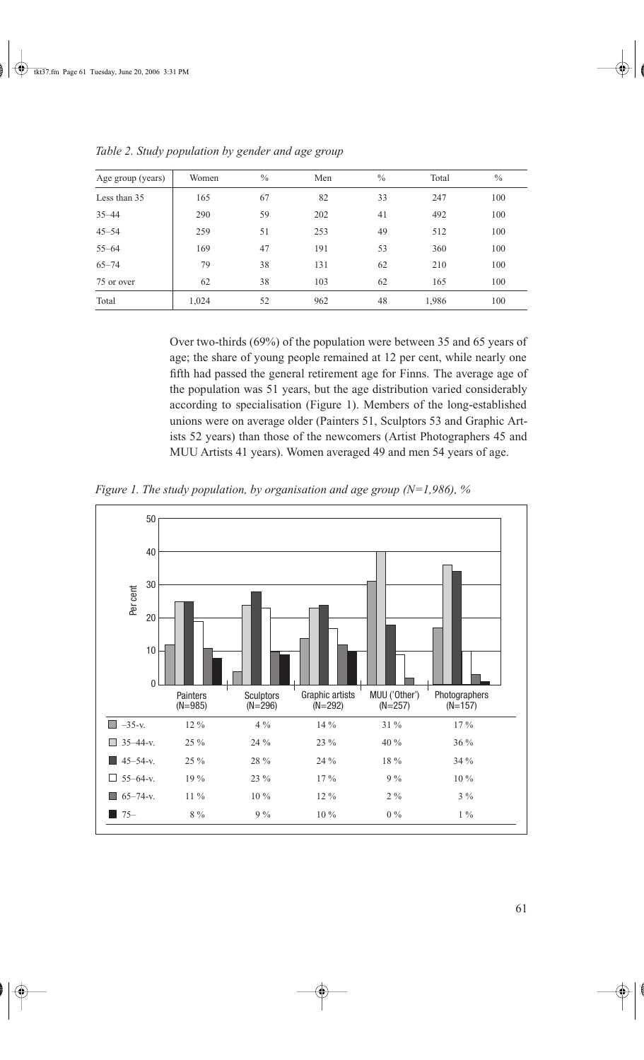| Age group (years) | Women | $\frac{0}{0}$ | Men | $\frac{0}{0}$ | Total | $\frac{0}{0}$ |
|-------------------|-------|---------------|-----|---------------|-------|---------------|
| Less than 35      | 165   | 67            | 82  | 33            | 247   | 100           |
| $35 - 44$         | 290   | 59            | 202 | 41            | 492   | 100           |
| $45 - 54$         | 259   | 51            | 253 | 49            | 512   | 100           |
| $55 - 64$         | 169   | 47            | 191 | 53            | 360   | 100           |
| $65 - 74$         | 79    | 38            | 131 | 62            | 210   | 100           |
| 75 or over        | 62    | 38            | 103 | 62            | 165   | 100           |
| Total             | 1,024 | 52            | 962 | 48            | 1,986 | 100           |

*Table 2. Study population by gender and age group*

Over two-thirds (69%) of the population were between 35 and 65 years of age; the share of young people remained at 12 per cent, while nearly one fifth had passed the general retirement age for Finns. The average age of the population was 51 years, but the age distribution varied considerably according to specialisation (Figure 1). Members of the long-established unions were on average older (Painters 51, Sculptors 53 and Graphic Artists 52 years) than those of the newcomers (Artist Photographers 45 and MUU Artists 41 years). Women averaged 49 and men 54 years of age.

*Figure 1. The study population, by organisation and age group (N=1,986), %*

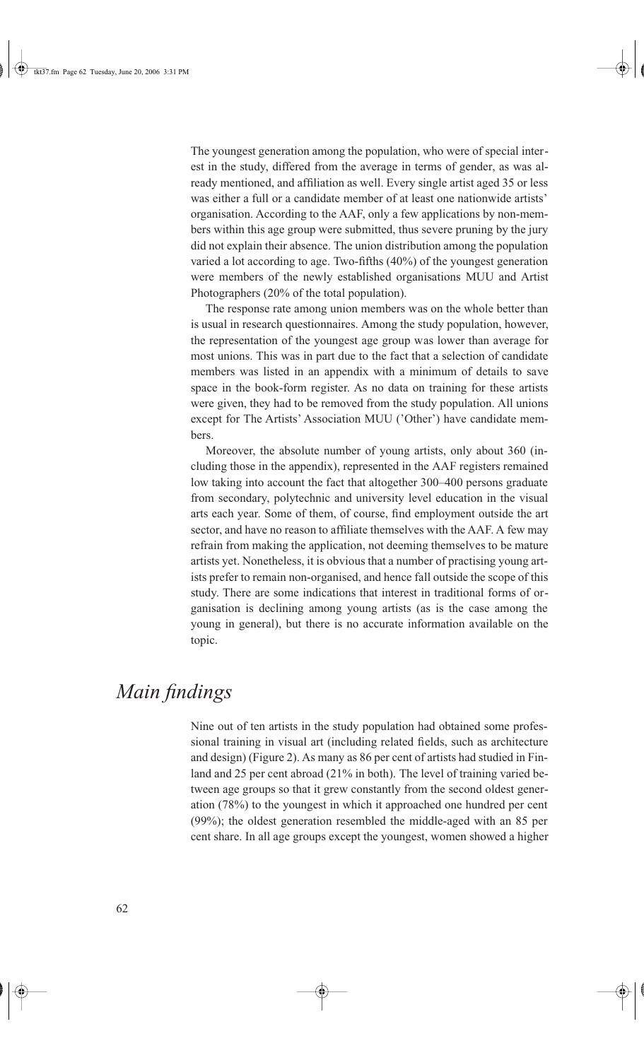The youngest generation among the population, who were of special interest in the study, differed from the average in terms of gender, as was already mentioned, and affiliation as well. Every single artist aged 35 or less was either a full or a candidate member of at least one nationwide artists' organisation. According to the AAF, only a few applications by non-members within this age group were submitted, thus severe pruning by the jury did not explain their absence. The union distribution among the population varied a lot according to age. Two-fifths (40%) of the youngest generation were members of the newly established organisations MUU and Artist Photographers (20% of the total population).

The response rate among union members was on the whole better than is usual in research questionnaires. Among the study population, however, the representation of the youngest age group was lower than average for most unions. This was in part due to the fact that a selection of candidate members was listed in an appendix with a minimum of details to save space in the book-form register. As no data on training for these artists were given, they had to be removed from the study population. All unions except for The Artists' Association MUU ('Other') have candidate members.

Moreover, the absolute number of young artists, only about 360 (including those in the appendix), represented in the AAF registers remained low taking into account the fact that altogether 300–400 persons graduate from secondary, polytechnic and university level education in the visual arts each year. Some of them, of course, find employment outside the art sector, and have no reason to affiliate themselves with the AAF. A few may refrain from making the application, not deeming themselves to be mature artists yet. Nonetheless, it is obvious that a number of practising young artists prefer to remain non-organised, and hence fall outside the scope of this study. There are some indications that interest in traditional forms of organisation is declining among young artists (as is the case among the young in general), but there is no accurate information available on the topic.

#### *Main findings*

Nine out of ten artists in the study population had obtained some professional training in visual art (including related fields, such as architecture and design) (Figure 2). As many as 86 per cent of artists had studied in Finland and 25 per cent abroad (21% in both). The level of training varied between age groups so that it grew constantly from the second oldest generation (78%) to the youngest in which it approached one hundred per cent (99%); the oldest generation resembled the middle-aged with an 85 per cent share. In all age groups except the youngest, women showed a higher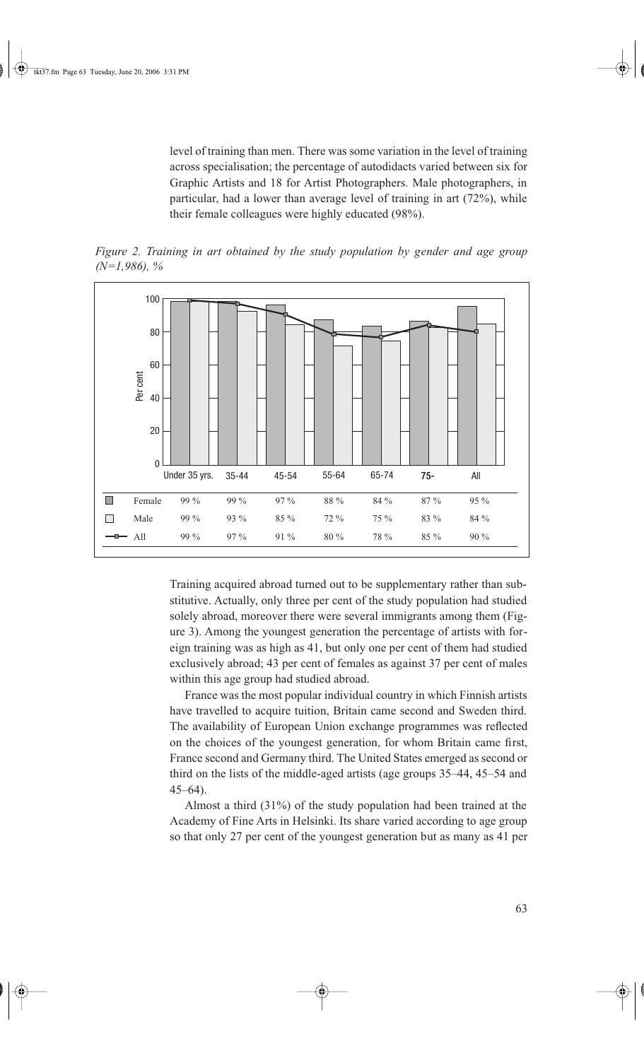level of training than men. There was some variation in the level of training across specialisation; the percentage of autodidacts varied between six for Graphic Artists and 18 for Artist Photographers. Male photographers, in particular, had a lower than average level of training in art (72%), while their female colleagues were highly educated (98%).





Training acquired abroad turned out to be supplementary rather than substitutive. Actually, only three per cent of the study population had studied solely abroad, moreover there were several immigrants among them (Figure 3). Among the youngest generation the percentage of artists with foreign training was as high as 41, but only one per cent of them had studied exclusively abroad; 43 per cent of females as against 37 per cent of males within this age group had studied abroad.

France was the most popular individual country in which Finnish artists have travelled to acquire tuition, Britain came second and Sweden third. The availability of European Union exchange programmes was reflected on the choices of the youngest generation, for whom Britain came first, France second and Germany third. The United States emerged as second or third on the lists of the middle-aged artists (age groups 35–44, 45–54 and 45–64).

Almost a third (31%) of the study population had been trained at the Academy of Fine Arts in Helsinki. Its share varied according to age group so that only 27 per cent of the youngest generation but as many as 41 per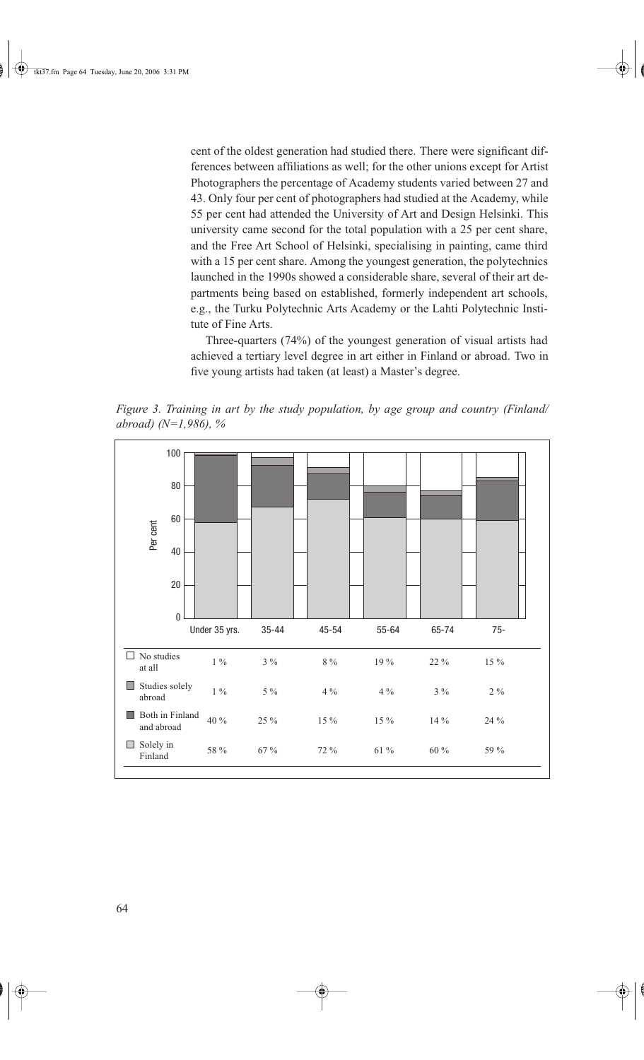cent of the oldest generation had studied there. There were significant differences between affiliations as well; for the other unions except for Artist Photographers the percentage of Academy students varied between 27 and 43. Only four per cent of photographers had studied at the Academy, while 55 per cent had attended the University of Art and Design Helsinki. This university came second for the total population with a 25 per cent share, and the Free Art School of Helsinki, specialising in painting, came third with a 15 per cent share. Among the youngest generation, the polytechnics launched in the 1990s showed a considerable share, several of their art departments being based on established, formerly independent art schools, e.g., the Turku Polytechnic Arts Academy or the Lahti Polytechnic Institute of Fine Arts.

Three-quarters (74%) of the youngest generation of visual artists had achieved a tertiary level degree in art either in Finland or abroad. Two in five young artists had taken (at least) a Master's degree.

*Figure 3. Training in art by the study population, by age group and country (Finland/ abroad) (N=1,986), %*